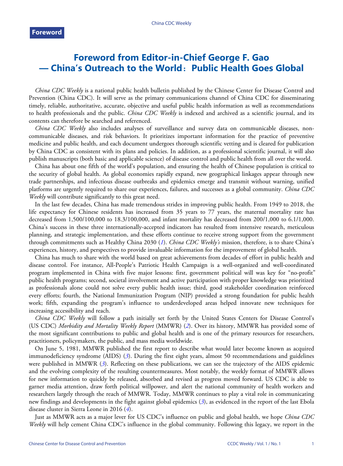## **Foreword from Editor-in-Chief George F. Gao — China's Outreach to the World**:**Public Health Goes Global**

*China CDC Weekly* is a national public health bulletin published by the Chinese Center for Disease Control and Prevention (China CDC). It will serve as the primary communications channel of China CDC for disseminating timely, reliable, authoritative, accurate, objective and useful public health information as well as recommendations to health professionals and the public. *China CDC Weekly* is indexed and archived as a scientific journal, and its contents can therefore be searched and referenced.

*China CDC Weekly* also includes analyses of surveillance and survey data on communicable diseases, noncommunicable diseases, and risk behaviors. It prioritizes important information for the practice of preventive medicine and public health, and each document undergoes thorough scientific vetting and is cleared for publication by China CDC as consistent with its plans and policies. In addition, as a professional scientific journal, it will also publish manuscripts (both basic and applicable science) of disease control and public health from all over the world.

China has about one fifth of the world's population, and ensuring the health of Chinese population is critical to the security of global health. As global economies rapidly expand, new geographical linkages appear through new trade partnerships, and infectious disease outbreaks and epidemics emerge and transmit without warning, unified platforms are urgently required to share our experiences, failures, and successes as a global community. *China CDC Weekly* will contribute significantly to this great need.

In the last few decades, China has made tremendous strides in improving public health. From 1949 to 2018, the life expectancy for Chinese residents has increased from 35 years to 77 years, the maternal mortality rate has decreased from 1,500/100,000 to 18.3/100,000, and infant mortality has decreased from 200/1,000 to 6.1/1,000. China's success in these three internationally-accepted indicators has resulted from intensive research, meticulous planning, and strategic implementation, and these efforts continue to receive strong support from the government through commitments such as Healthy China 2030 (*[1](#page-1-0)*). *China CDC Weekly's* mission, therefore, is to share China's experiences, history, and perspectives to provide invaluable information for the improvement of global health.

China has much to share with the world based on great achievements from decades of effort in public health and disease control. For instance, All-People's Patriotic Health Campaign is a well-organized and well-coordinated program implemented in China with five major lessons: first, government political will was key for "no-profit" public health programs; second, societal involvement and active participation with proper knowledge was prioritized as professionals alone could not solve every public health issue; third, good stakeholder coordination reinforced every efforts; fourth, the National Immunization Program (NIP) provided a strong foundation for public health work; fifth, expanding the program's influence to underdeveloped areas helped innovate new techniques for increasing accessibility and reach.

*China CDC Weekly* will follow a path initially set forth by the United States Centers for Disease Control's (US CDC) *Morbidity and Mortality Weekly Report* (MMWR) (*[2](#page-1-1)*). Over its history, MMWR has provided some of the most significant contributions to public and global health and is one of the primary resources for researchers, practitioners, policymakers, the public, and mass media worldwide.

On June 5, 1981, MMWR published the first report to describe what would later become known as acquired immunodeficiency syndrome (AIDS) (*[3](#page-1-2)*). During the first eight years, almost 50 recommendations and guidelines were published in MMWR (*[3](#page-1-2)*). Reflecting on these publications, we can see the trajectory of the AIDS epidemic and the evolving complexity of the resulting countermeasures. Most notably, the weekly format of MMWR allows for new information to quickly be released, absorbed and revised as progress moved forward. US CDC is able to garner media attention, draw forth political willpower, and alert the national community of health workers and researchers largely through the reach of MMWR. Today, MMWR continues to play a vital role in communicating new findings and developments in the fight against global epidemics (*[3](#page-1-2)*), as evidenced in the report of the last Ebola disease cluster in Sierra Leone in 2016 (*[4](#page-1-3)*).

Just as MMWR acts as a major lever for US CDC's influence on public and global health, we hope *China CDC Weekly* will help cement China CDC's influence in the global community. Following this legacy, we report in the